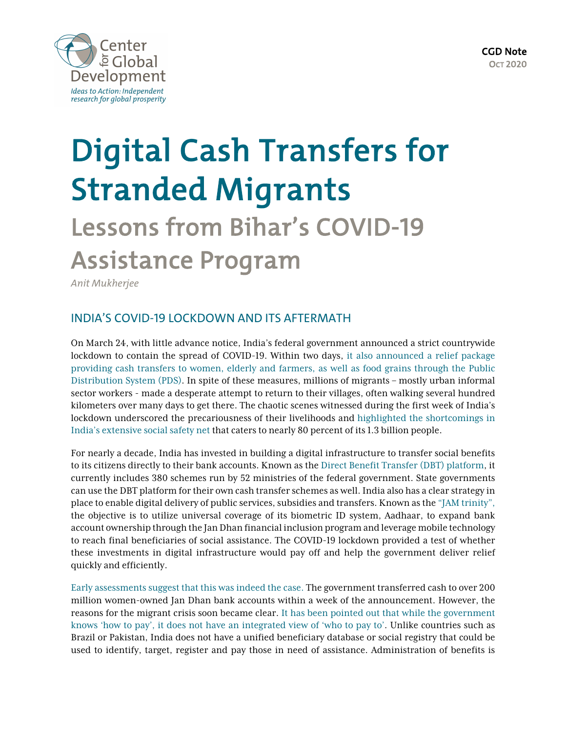



# Digital Cash Transfers for Stranded Migrants Lessons from Bihar's COVID-19 Assistance Program

*Anit Mukherjee*

## INDIA'S COVID-19 LOCKDOWN AND ITS AFTERMATH

On March 24, with little advance notice, India's federal government announced a strict countrywide lockdown to contain the spread of COVID-19. Within two days, [it also announced a relief package](http://documents1.worldbank.org/curated/en/295321600473897712/pdf/Social-Protection-and-Jobs-Responses-to-COVID-19-A-Real-Time-Review-of-Country-Measures-September-18-2020.pdf) [providing cash transfers to women, elderly and farmers, as well as food](http://documents1.worldbank.org/curated/en/295321600473897712/pdf/Social-Protection-and-Jobs-Responses-to-COVID-19-A-Real-Time-Review-of-Country-Measures-September-18-2020.pdf) grains through the Public [Distribution System \(PDS\)](http://documents1.worldbank.org/curated/en/295321600473897712/pdf/Social-Protection-and-Jobs-Responses-to-COVID-19-A-Real-Time-Review-of-Country-Measures-September-18-2020.pdf). In spite of these measures, millions of migrants – mostly urban informal sector workers - made a desperate attempt to return to their villages, often walking several hundred kilometers over many days to get there. The chaotic scenes witnessed during the first week of India's lockdown underscored the precariousness of their livelihoods and [highlighted the shortcomings in](https://www.cgdev.org/blog/covid-19-response-underlines-need-portable-social-protection-programs) [India's extensive social safety net](https://www.cgdev.org/blog/covid-19-response-underlines-need-portable-social-protection-programs) that caters to nearly 80 percent of its 1.3 billion people.

For nearly a decade, India has invested in building a digital infrastructure to transfer social benefits to its citizens directly to their bank accounts. Known as the [Direct Benefit Transfer \(DBT\) platform](https://dbtbharat.gov.in/), it currently includes 380 schemes run by 52 ministries of the federal government. State governments can use the DBT platform for their own cash transfer schemes as well. India also has a clear strategy in place to enable digital delivery of public services, subsidies and transfers. Known as the ["JAM trinity"](https://www.cgdev.org/publication/citizens-and-states-how-can-digital-id-and-payments-improve-state-capacity), the objective is to utilize universal coverage of its biometric ID system, Aadhaar, to expand bank account ownership through the Jan Dhan financial inclusion program and leverage mobile technology to reach final beneficiaries of social assistance. The COVID-19 lockdown provided a test of whether these investments in digital infrastructure would pay off and help the government deliver relief quickly and efficiently.

[Early assessments suggest that this was indeed the case.](http://pubdocs.worldbank.org/en/655201595885830480/WB-G2Px-Scaling-up-Social-Assistance-Payments-as-Part-of-the-Covid-19-Pandemic-Response.pdf) The government transferred cash to over 200 million women-owned Jan Dhan bank accounts within a week of the announcement. However, the reasons for the migrant crisis soon became clear. [It has been pointed out that while the government](https://theprint.in/opinion/india-needs-a-who-to-pay-database-covid-crisis/406783/) [knows 'how to pay', it does not have an integrated view of 'who to pay to'](https://theprint.in/opinion/india-needs-a-who-to-pay-database-covid-crisis/406783/). Unlike countries such as Brazil or Pakistan, India does not have a unified beneficiary database or social registry that could be used to identify, target, register and pay those in need of assistance. Administration of benefits is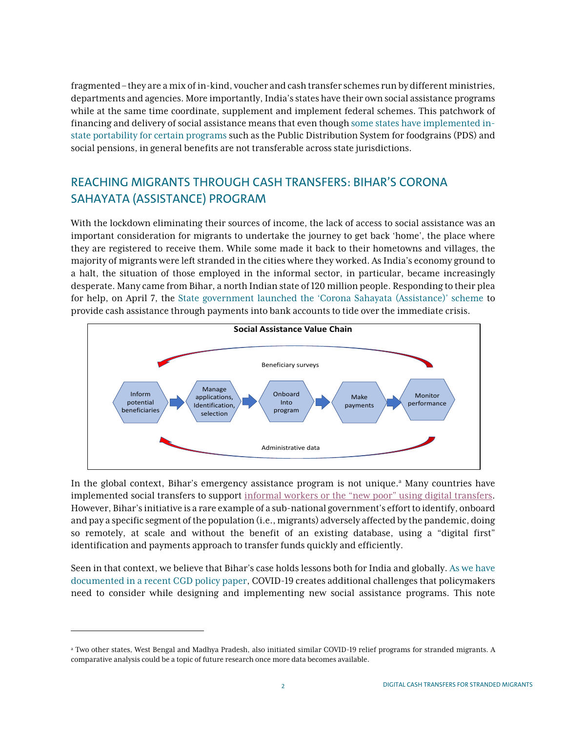fragmented – they are a mix of in-kind, voucher and cash transfer schemes run by different ministries, departments and agencies. More importantly, India's states have their own social assistance programs while at the same time coordinate, supplement and implement federal schemes. This patchwork of financing and delivery of social assistance means that even though [some states have implemented in](https://www.cgdev.org/publication/digital-governance-krishna-glimpse-future-working-paper)[state portability for certain programs](https://www.cgdev.org/publication/digital-governance-krishna-glimpse-future-working-paper) such as the Public Distribution System for foodgrains (PDS) and social pensions, in general benefits are not transferable across state jurisdictions.

# REACHING MIGRANTS THROUGH CASH TRANSFERS: BIHAR'S CORONA SAHAYATA (ASSISTANCE) PROGRAM

With the lockdown eliminating their sources of income, the lack of access to social assistance was an important consideration for migrants to undertake the journey to get back 'home', the place where they are registered to receive them. While some made it back to their hometowns and villages, the majority of migrants were left stranded in the cities where they worked. As India's economy ground to a halt, the situation of those employed in the informal sector, in particular, became increasingly desperate. Many came from Bihar, a north Indian state of 120 million people. Responding to their plea for help, on April 7, the [State government launched the 'Corona Sahayata \(Assistance\)' scheme](https://www.ndtv.com/india-news/covid-19-bihar-chief-minister-nitish-kumar-launches-scheme-to-provide-special-assistance-to-people-s-2207300) to provide cash assistance through payments into bank accounts to tide over the immediate crisis.



In the global context, Bihar's emergency assistance program is not unique.<sup>a</sup> Many countries have implemented social transfers to support [informal workers or the "new poor" using digital transfers](http://pubdocs.worldbank.org/en/655201595885830480/WB-G2Px-Scaling-up-Social-Assistance-Payments-as-Part-of-the-Covid-19-Pandemic-Response.pdf). However, Bihar's initiative is a rare example of a sub-national government's effort to identify, onboard and pay a specific segment of the population (i.e., migrants) adversely affected by the pandemic, doing so remotely, at scale and without the benefit of an existing database, using a "digital first" identification and payments approach to transfer funds quickly and efficiently.

Seen in that context, we believe that Bihar's case holds lessons both for India and globally. [As we have](https://www.cgdev.org/blog/digital-technology-scale-covid-19-social-assistance-what-have-we-learned) documented in a [recent CGD policy paper](https://www.cgdev.org/blog/digital-technology-scale-covid-19-social-assistance-what-have-we-learned), COVID-19 creates additional challenges that policymakers need to consider while designing and implementing new social assistance programs. This note

<sup>a</sup> Two other states, West Bengal and Madhya Pradesh, also initiated similar COVID-19 relief programs for stranded migrants. A comparative analysis could be a topic of future research once more data becomes available.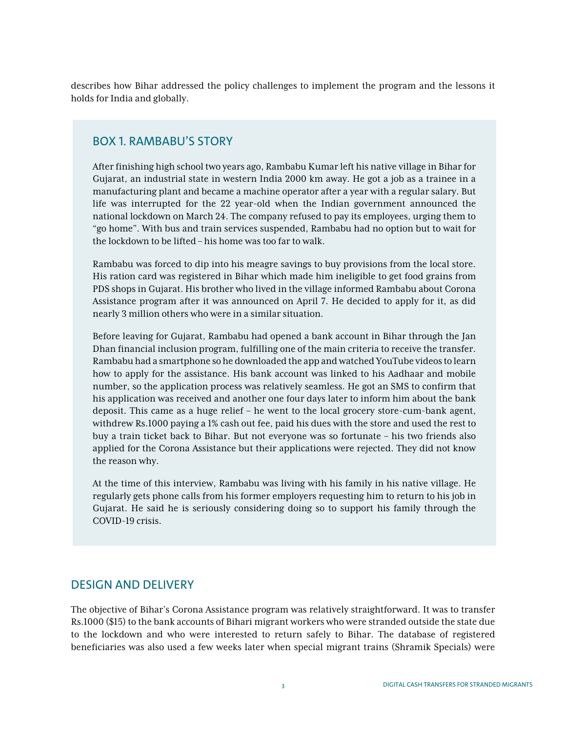describes how Bihar addressed the policy challenges to implement the program and the lessons it holds for India and globally.

### BOX 1. RAMBABU'S STORY

After finishing high school two years ago, Rambabu Kumar left his native village in Bihar for Gujarat, an industrial state in western India 2000 km away. He got a job as a trainee in a manufacturing plant and became a machine operator after a year with a regular salary. But life was interrupted for the 22 year-old when the Indian government announced the national lockdown on March 24. The company refused to pay its employees, urging them to "go home". With bus and train services suspended, Rambabu had no option but to wait for the lockdown to be lifted – his home was too far to walk.

Rambabu was forced to dip into his meagre savings to buy provisions from the local store. His ration card was registered in Bihar which made him ineligible to get food grains from PDS shops in Gujarat. His brother who lived in the village informed Rambabu about Corona Assistance program after it was announced on April 7. He decided to apply for it, as did nearly 3 million others who were in a similar situation.

Before leaving for Gujarat, Rambabu had opened a bank account in Bihar through the Jan Dhan financial inclusion program, fulfilling one of the main criteria to receive the transfer. Rambabu had a smartphone so he downloaded the app and watched YouTube videos to learn how to apply for the assistance. His bank account was linked to his Aadhaar and mobile number, so the application process was relatively seamless. He got an SMS to confirm that his application was received and another one four days later to inform him about the bank deposit. This came as a huge relief – he went to the local grocery store-cum-bank agent, withdrew Rs.1000 paying a 1% cash out fee, paid his dues with the store and used the rest to buy a train ticket back to Bihar. But not everyone was so fortunate – his two friends also applied for the Corona Assistance but their applications were rejected. They did not know the reason why.

At the time of this interview, Rambabu was living with his family in his native village. He regularly gets phone calls from his former employers requesting him to return to his job in Gujarat. He said he is seriously considering doing so to support his family through the COVID-19 crisis.

#### DESIGN AND DELIVERY

The objective of Bihar's Corona Assistance program was relatively straightforward. It was to transfer Rs.1000 (\$15) to the bank accounts of Bihari migrant workers who were stranded outside the state due to the lockdown and who were interested to return safely to Bihar. The database of registered beneficiaries was also used a few weeks later when special migrant trains (Shramik Specials) were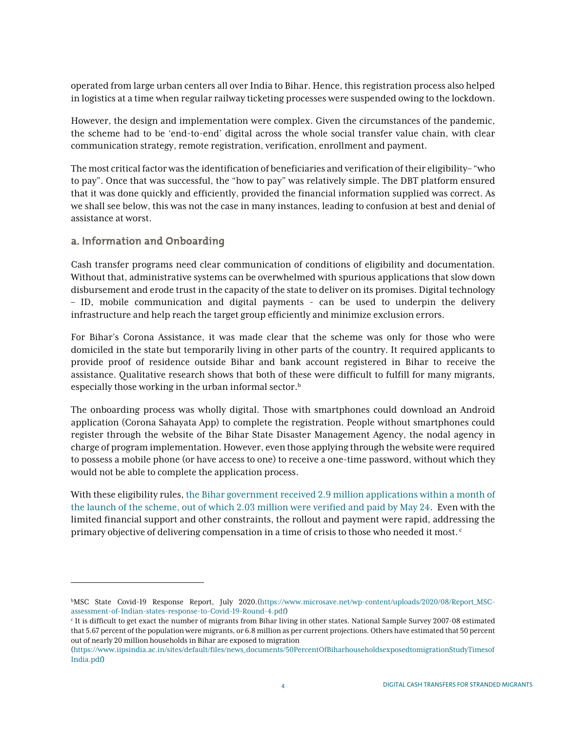operated from large urban centers all over India to Bihar. Hence, this registration process also helped in logistics at a time when regular railway ticketing processes were suspended owing to the lockdown.

However, the design and implementation were complex. Given the circumstances of the pandemic, the scheme had to be 'end-to-end' digital across the whole social transfer value chain, with clear communication strategy, remote registration, verification, enrollment and payment.

The most critical factor was the identification of beneficiaries and verification of their eligibility–"who to pay". Once that was successful, the "how to pay" was relatively simple. The DBT platform ensured that it was done quickly and efficiently, provided the financial information supplied was correct. As we shall see below, this was not the case in many instances, leading to confusion at best and denial of assistance at worst.

#### a. Information and Onboarding

Cash transfer programs need clear communication of conditions of eligibility and documentation. Without that, administrative systems can be overwhelmed with spurious applications that slow down disbursement and erode trust in the capacity of the state to deliver on its promises. Digital technology – ID, mobile communication and digital payments - can be used to underpin the delivery infrastructure and help reach the target group efficiently and minimize exclusion errors.

For Bihar's Corona Assistance, it was made clear that the scheme was only for those who were domiciled in the state but temporarily living in other parts of the country. It required applicants to provide proof of residence outside Bihar and bank account registered in Bihar to receive the assistance. Qualitative research shows that both of these were difficult to fulfill for many migrants, especially those working in the urban informal sector.<sup>b</sup>

The onboarding process was wholly digital. Those with smartphones could download an Android application (Corona Sahayata App) to complete the registration. People without smartphones could register through the website of the Bihar State Disaster Management Agency, the nodal agency in charge of program implementation. However, even those applying through the website were required to possess a mobile phone (or have access to one) to receive a one-time password, without which they would not be able to complete the application process.

With these eligibility rules, [the Bihar government received 2.9 million applications within a month of](https://scroll.in/article/963164/bihars-promise-of-rs-1000-aid-is-little-solace-to-millions-of-returning-migrant-workers) [the launch of the scheme, out of which 2.03 million were verified and paid by May 24](https://scroll.in/article/963164/bihars-promise-of-rs-1000-aid-is-little-solace-to-millions-of-returning-migrant-workers). Even with the limited financial support and other constraints, the rollout and payment were rapid, addressing the primary objective of delivering compensation in a time of crisis to those who needed it most.<sup>c</sup>

bMSC State Covid-19 Response Report, July 2020.(https://www.microsave.net/wp-content/uploads/2020/08/Report\_MSCassessment-of-Indian-states-response-to-Covid-19-Round-4.pdf)

<sup>c</sup> It is difficult to get exact the number of migrants from Bihar living in other states. National Sample Survey 2007-08 estimated that 5.67 percent of the population were migrants, or 6.8 million as per current projections. Others have estimated that 50 percent out of nearly 20 million households in Bihar are exposed to migration

<sup>(</sup>https://www.iipsindia.ac.in/sites/default/files/news\_documents/50PercentOfBiharhouseholdsexposedtomigrationStudyTimesof India.pdf)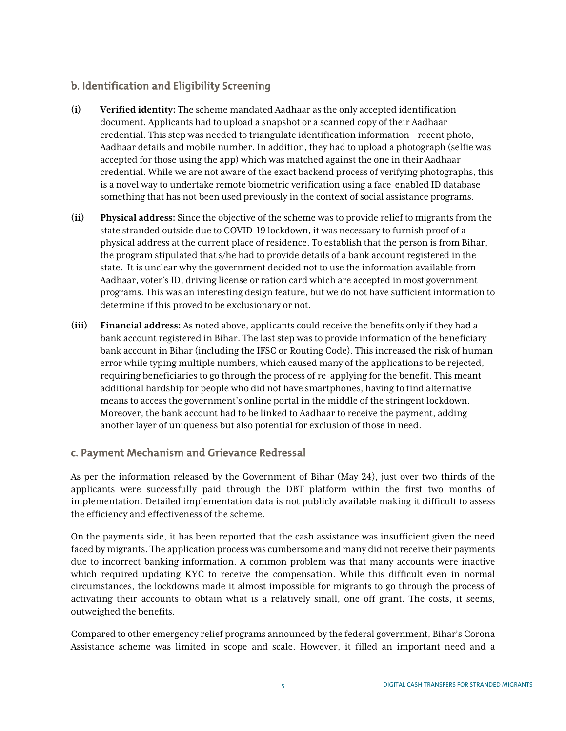### b. Identification and Eligibility Screening

- **(i) Verified identity:** The scheme mandated Aadhaar as the only accepted identification document. Applicants had to upload a snapshot or a scanned copy of their Aadhaar credential. This step was needed to triangulate identification information –recent photo, Aadhaar details and mobile number. In addition, they had to upload a photograph (selfie was accepted for those using the app) which was matched against the one in their Aadhaar credential. While we are not aware of the exact backend process of verifying photographs, this is a novel way to undertake remote biometric verification using a face-enabled ID database – something that has not been used previously in the context of social assistance programs.
- **(ii) Physical address:** Since the objective of the scheme was to provide relief to migrants from the state stranded outside due to COVID-19 lockdown, it was necessary to furnish proof of a physical address at the current place of residence. To establish that the person is from Bihar, the program stipulated that s/he had to provide details of a bank account registered in the state. It is unclear why the government decided not to use the information available from Aadhaar, voter's ID, driving license or ration card which are accepted in most government programs. This was an interesting design feature, but we do not have sufficient information to determine if this proved to be exclusionary or not.
- **(iii) Financial address:** As noted above, applicants could receive the benefits only if they had a bank account registered in Bihar. The last step was to provide information of the beneficiary bank account in Bihar (including the IFSC or Routing Code). This increased the risk of human error while typing multiple numbers, which caused many of the applications to be rejected, requiring beneficiaries to go through the process of re-applying for the benefit. This meant additional hardship for people who did not have smartphones, having to find alternative means to access the government's online portal in the middle of the stringent lockdown. Moreover, the bank account had to be linked to Aadhaar to receive the payment, adding another layer of uniqueness but also potential for exclusion of those in need.

#### c. Payment Mechanism and Grievance Redressal

As per the information released by the Government of Bihar (May 24), just over two-thirds of the applicants were successfully paid through the DBT platform within the first two months of implementation. Detailed implementation data is not publicly available making it difficult to assess the efficiency and effectiveness of the scheme.

On the payments side, it has been reported that the cash assistance was insufficient given the need faced by migrants. The application process was cumbersome and many did not receive their payments due to incorrect banking information. A common problem was that many accounts were inactive which required updating KYC to receive the compensation. While this difficult even in normal circumstances, the lockdowns made it almost impossible for migrants to go through the process of activating their accounts to obtain what is a relatively small, one-off grant. The costs, it seems, outweighed the benefits.

Compared to other emergency relief programs announced by the federal government, Bihar's Corona Assistance scheme was limited in scope and scale. However, it filled an important need and a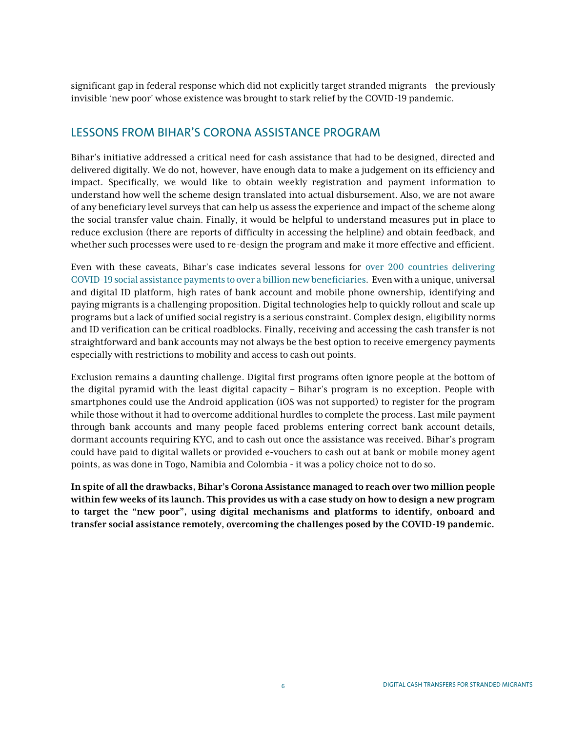significant gap in federal response which did not explicitly target stranded migrants – the previously invisible 'new poor' whose existence was brought to stark relief by the COVID-19 pandemic.

## LESSONS FROM BIHAR'S CORONA ASSISTANCE PROGRAM

Bihar's initiative addressed a critical need for cash assistance that had to be designed, directed and delivered digitally. We do not, however, have enough data to make a judgement on its efficiency and impact. Specifically, we would like to obtain weekly registration and payment information to understand how well the scheme design translated into actual disbursement. Also, we are not aware of any beneficiary level surveys that can help us assess the experience and impact of the scheme along the social transfer value chain. Finally, it would be helpful to understand measures put in place to reduce exclusion (there are reports of difficulty in accessing the helpline) and obtain feedback, and whether such processes were used to re-design the program and make it more effective and efficient.

Even with these caveats, Bihar's case indicates several lessons for [over 200 countries delivering](https://openknowledge.worldbank.org/handle/10986/33635) [COVID-19 social assistance payments to over a billion new beneficiaries](https://openknowledge.worldbank.org/handle/10986/33635). Even with a unique, universal and digital ID platform, high rates of bank account and mobile phone ownership, identifying and paying migrants is a challenging proposition. Digital technologies help to quickly rollout and scale up programs but a lack of unified social registry is a serious constraint. Complex design, eligibility norms and ID verification can be critical roadblocks. Finally, receiving and accessing the cash transfer is not straightforward and bank accounts may not always be the best option to receive emergency payments especially with restrictions to mobility and access to cash out points.

Exclusion remains a daunting challenge. Digital first programs often ignore people at the bottom of the digital pyramid with the least digital capacity – Bihar's program is no exception. People with smartphones could use the Android application (iOS was not supported) to register for the program while those without it had to overcome additional hurdles to complete the process. Last mile payment through bank accounts and many people faced problems entering correct bank account details, dormant accounts requiring KYC, and to cash out once the assistance was received. Bihar's program could have paid to digital wallets or provided e-vouchers to cash out at bank or mobile money agent points, as was done in Togo, Namibia and Colombia - it was a policy choice not to do so.

**In spite of all the drawbacks, Bihar's Corona Assistance managed to reach over two million people within few weeks of its launch. This provides us with a case study on how to design a new program to target the "new poor", using digital mechanisms and platforms to identify, onboard and transfer social assistance remotely, overcoming the challenges posed by the COVID-19 pandemic.**